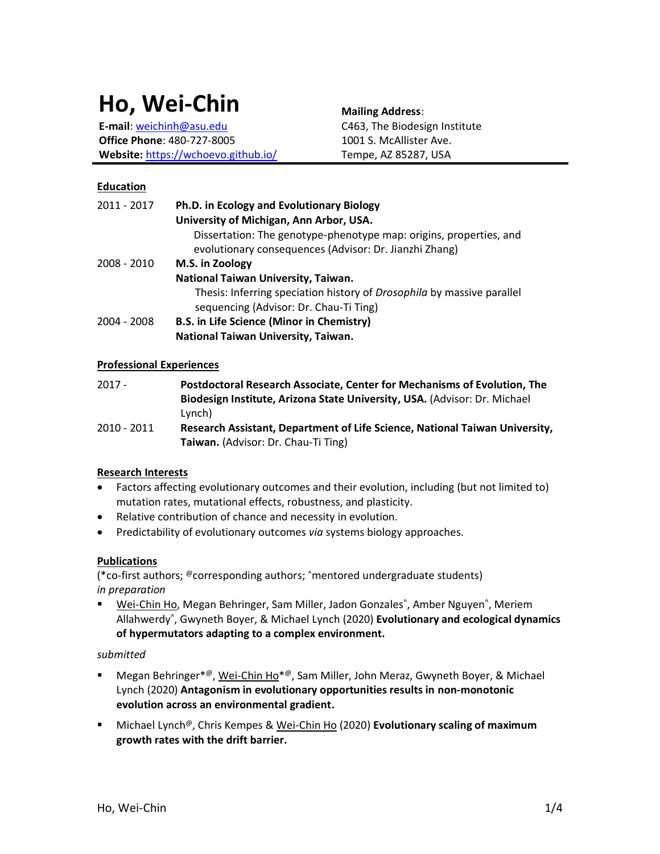# **Ho, Wei-Chin**

**E-mail**[: weichinh@asu.edu](mailto:weichinh@asu.edu) **Office Phone**: 480-727-8005 **Website:** <https://wchoevo.github.io/> **Mailing Address**: C463, The Biodesign Institute 1001 S. McAllister Ave. Tempe, AZ 85287, USA

## **Education**

| 2011 - 2017 | Ph.D. in Ecology and Evolutionary Biology                                     |
|-------------|-------------------------------------------------------------------------------|
|             | University of Michigan, Ann Arbor, USA.                                       |
|             | Dissertation: The genotype-phenotype map: origins, properties, and            |
|             | evolutionary consequences (Advisor: Dr. Jianzhi Zhang)                        |
| 2008 - 2010 | M.S. in Zoology                                                               |
|             | National Taiwan University, Taiwan.                                           |
|             | Thesis: Inferring speciation history of <i>Drosophila</i> by massive parallel |
|             | sequencing (Advisor: Dr. Chau-Ti Ting)                                        |
| 2004 - 2008 | B.S. in Life Science (Minor in Chemistry)                                     |
|             | National Taiwan University, Taiwan.                                           |

## **Professional Experiences**

| $2017 -$    | Postdoctoral Research Associate, Center for Mechanisms of Evolution, The    |
|-------------|-----------------------------------------------------------------------------|
|             | Biodesign Institute, Arizona State University, USA. (Advisor: Dr. Michael   |
|             | Lynch)                                                                      |
| 2010 - 2011 | Research Assistant, Department of Life Science, National Taiwan University, |
|             | Taiwan. (Advisor: Dr. Chau-Ti Ting)                                         |

## **Research Interests**

- Factors affecting evolutionary outcomes and their evolution, including (but not limited to) mutation rates, mutational effects, robustness, and plasticity.
- Relative contribution of chance and necessity in evolution.
- Predictability of evolutionary outcomes *via* systems biology approaches.

## **Publications**

(\*co-first authors; @corresponding authors; ^mentored undergraduate students) *in preparation*

**E** Wei-Chin Ho, Megan Behringer, Sam Miller, Jadon Gonzales<sup>^</sup>, Amber Nguyen<sup>^</sup>, Meriem Allahwerdy^ , Gwyneth Boyer, & Michael Lynch (2020) **Evolutionary and ecological dynamics of hypermutators adapting to a complex environment.** 

## *submitted*

- Megan Behringer<sup>\*@</sup>, Wei-Chin Ho<sup>\*@</sup>, Sam Miller, John Meraz, Gwyneth Boyer, & Michael Lynch (2020) **Antagonism in evolutionary opportunities results in non-monotonic evolution across an environmental gradient.**
- Michael Lynch<sup>@</sup>, Chris Kempes & Wei-Chin Ho (2020) **Evolutionary scaling of maximum growth rates with the drift barrier.**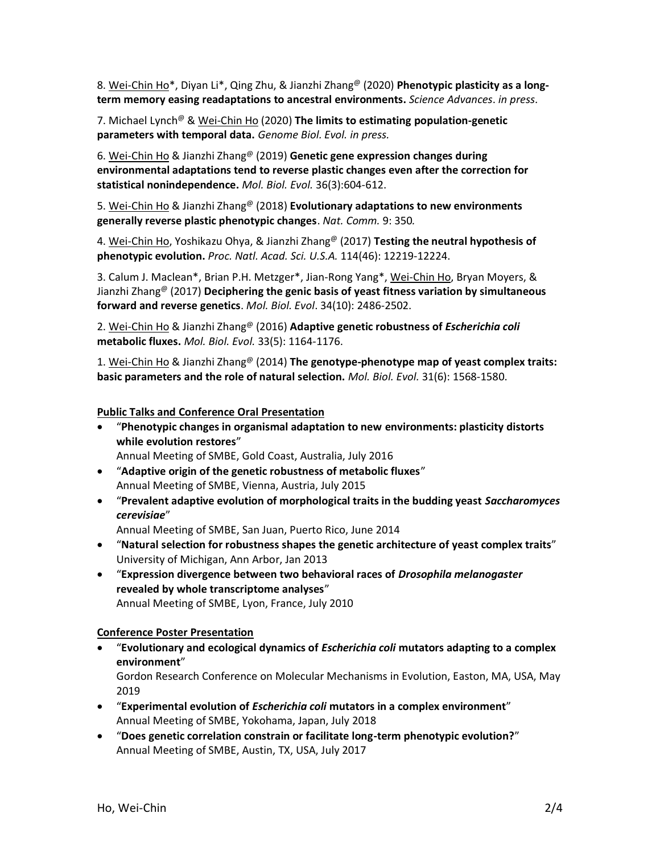8. Wei-Chin Ho\*, Diyan Li\*, Qing Zhu, & Jianzhi Zhang@ (2020) **Phenotypic plasticity as a longterm memory easing readaptations to ancestral environments.** *Science Advances*. *in press*.

7. Michael Lynch@ & Wei-Chin Ho (2020) **The limits to estimating population-genetic parameters with temporal data.** *Genome Biol. Evol. in press.*

6. Wei-Chin Ho & Jianzhi Zhang@ (2019) **Genetic gene expression changes during environmental adaptations tend to reverse plastic changes even after the correction for statistical nonindependence.** *Mol. Biol. Evol.* 36(3):604-612.

5. Wei-Chin Ho & Jianzhi Zhang@ (2018) **Evolutionary adaptations to new environments generally reverse plastic phenotypic changes**. *Nat. Comm.* 9: 350*.*

4. Wei-Chin Ho, Yoshikazu Ohya, & Jianzhi Zhang@ (2017) **Testing the neutral hypothesis of phenotypic evolution.** *Proc. Natl. Acad. Sci. U.S.A.* 114(46): 12219-12224.

3. Calum J. Maclean\*, Brian P.H. Metzger\*, Jian-Rong Yang\*, Wei-Chin Ho, Bryan Moyers, & Jianzhi Zhang@ (2017) **Deciphering the genic basis of yeast fitness variation by simultaneous forward and reverse genetics**. *Mol. Biol. Evol*. 34(10): 2486-2502.

2. Wei-Chin Ho & Jianzhi Zhang@ (2016) **Adaptive genetic robustness of** *Escherichia coli* **metabolic fluxes.** *Mol. Biol. Evol.* 33(5): 1164-1176.

1. Wei-Chin Ho & Jianzhi Zhang@ (2014) **The genotype-phenotype map of yeast complex traits: basic parameters and the role of natural selection.** *Mol. Biol. Evol.* 31(6): 1568-1580.

## **Public Talks and Conference Oral Presentation**

- "**Phenotypic changes in organismal adaptation to new environments: plasticity distorts while evolution restores**"
	- Annual Meeting of SMBE, Gold Coast, Australia, July 2016
- "**Adaptive origin of the genetic robustness of metabolic fluxes**" Annual Meeting of SMBE, Vienna, Austria, July 2015
- "**Prevalent adaptive evolution of morphological traits in the budding yeast** *Saccharomyces cerevisiae*"

Annual Meeting of SMBE, San Juan, Puerto Rico, June 2014

- "**Natural selection for robustness shapes the genetic architecture of yeast complex traits**" University of Michigan, Ann Arbor, Jan 2013
- "**Expression divergence between two behavioral races of** *Drosophila melanogaster*  **revealed by whole transcriptome analyses**" Annual Meeting of SMBE, Lyon, France, July 2010

#### **Conference Poster Presentation**

• "**Evolutionary and ecological dynamics of** *Escherichia coli* **mutators adapting to a complex environment**" Gordon Research Conference on Molecular Mechanisms in Evolution, Easton, MA, USA, May 2019

• "**Experimental evolution of** *Escherichia coli* **mutators in a complex environment**" Annual Meeting of SMBE, Yokohama, Japan, July 2018

• "**Does genetic correlation constrain or facilitate long-term phenotypic evolution?**" Annual Meeting of SMBE, Austin, TX, USA, July 2017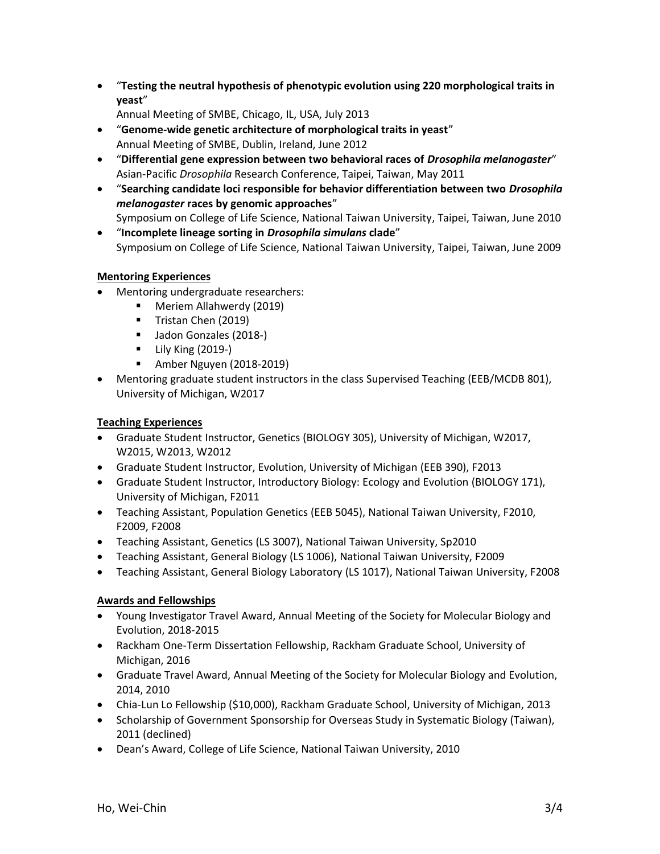• "**Testing the neutral hypothesis of phenotypic evolution using 220 morphological traits in yeast**"

Annual Meeting of SMBE, Chicago, IL, USA, July 2013

- "**Genome-wide genetic architecture of morphological traits in yeast**" Annual Meeting of SMBE, Dublin, Ireland, June 2012
- "**Differential gene expression between two behavioral races of** *Drosophila melanogaster*" Asian-Pacific *Drosophila* Research Conference, Taipei, Taiwan, May 2011
- "**Searching candidate loci responsible for behavior differentiation between two** *Drosophila melanogaster* **races by genomic approaches**"
- Symposium on College of Life Science, National Taiwan University, Taipei, Taiwan, June 2010 • "**Incomplete lineage sorting in** *Drosophila simulans* **clade**"

Symposium on College of Life Science, National Taiwan University, Taipei, Taiwan, June 2009

# **Mentoring Experiences**

- Mentoring undergraduate researchers:
	- Meriem Allahwerdy (2019)
	- **Tristan Chen (2019)**
	- Jadon Gonzales (2018-)
	- **•** Lily King (2019-)
	- Amber Nguyen (2018-2019)
- Mentoring graduate student instructors in the class Supervised Teaching (EEB/MCDB 801), University of Michigan, W2017

# **Teaching Experiences**

- Graduate Student Instructor, Genetics (BIOLOGY 305), University of Michigan, W2017, W2015, W2013, W2012
- Graduate Student Instructor, Evolution, University of Michigan (EEB 390), F2013
- Graduate Student Instructor, Introductory Biology: Ecology and Evolution (BIOLOGY 171), University of Michigan, F2011
- Teaching Assistant, Population Genetics (EEB 5045), National Taiwan University, F2010, F2009, F2008
- Teaching Assistant, Genetics (LS 3007), National Taiwan University, Sp2010
- Teaching Assistant, General Biology (LS 1006), National Taiwan University, F2009
- Teaching Assistant, General Biology Laboratory (LS 1017), National Taiwan University, F2008

# **Awards and Fellowships**

- Young Investigator Travel Award, Annual Meeting of the Society for Molecular Biology and Evolution, 2018-2015
- Rackham One-Term Dissertation Fellowship, Rackham Graduate School, University of Michigan, 2016
- Graduate Travel Award, Annual Meeting of the Society for Molecular Biology and Evolution, 2014, 2010
- Chia-Lun Lo Fellowship (\$10,000), Rackham Graduate School, University of Michigan, 2013
- Scholarship of Government Sponsorship for Overseas Study in Systematic Biology (Taiwan), 2011 (declined)
- Dean's Award, College of Life Science, National Taiwan University, 2010